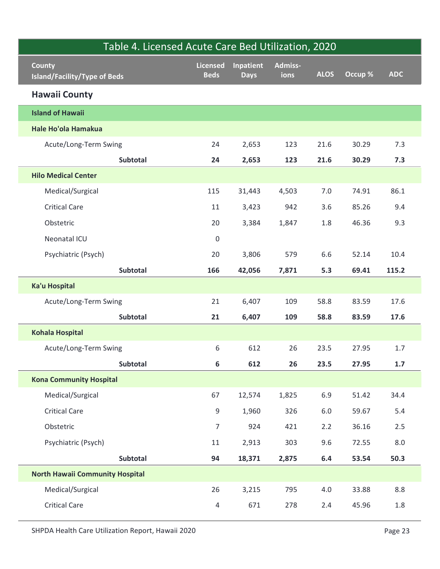| Table 4. Licensed Acute Care Bed Utilization, 2020<br>County<br><b>Island/Facility/Type of Beds</b> | <b>Licensed</b><br><b>Beds</b> | Inpatient<br><b>Days</b> | Admiss-<br>ions | <b>ALOS</b> | Occup % | <b>ADC</b> |
|-----------------------------------------------------------------------------------------------------|--------------------------------|--------------------------|-----------------|-------------|---------|------------|
| <b>Hawaii County</b>                                                                                |                                |                          |                 |             |         |            |
| <b>Island of Hawaii</b>                                                                             |                                |                          |                 |             |         |            |
| Hale Ho'ola Hamakua                                                                                 |                                |                          |                 |             |         |            |
| Acute/Long-Term Swing                                                                               | 24                             | 2,653                    | 123             | 21.6        | 30.29   | 7.3        |
| Subtotal                                                                                            | 24                             | 2,653                    | 123             | 21.6        | 30.29   | 7.3        |
| <b>Hilo Medical Center</b>                                                                          |                                |                          |                 |             |         |            |
| Medical/Surgical                                                                                    | 115                            | 31,443                   | 4,503           | 7.0         | 74.91   | 86.1       |
| <b>Critical Care</b>                                                                                | 11                             | 3,423                    | 942             | 3.6         | 85.26   | 9.4        |
| Obstetric                                                                                           | 20                             | 3,384                    | 1,847           | 1.8         | 46.36   | 9.3        |
| Neonatal ICU                                                                                        | $\pmb{0}$                      |                          |                 |             |         |            |
| Psychiatric (Psych)                                                                                 | 20                             | 3,806                    | 579             | 6.6         | 52.14   | 10.4       |
| Subtotal                                                                                            | 166                            | 42,056                   | 7,871           | 5.3         | 69.41   | 115.2      |
| Ka'u Hospital                                                                                       |                                |                          |                 |             |         |            |
| Acute/Long-Term Swing                                                                               | 21                             | 6,407                    | 109             | 58.8        | 83.59   | 17.6       |
| Subtotal                                                                                            | 21                             | 6,407                    | 109             | 58.8        | 83.59   | 17.6       |
| <b>Kohala Hospital</b>                                                                              |                                |                          |                 |             |         |            |
| Acute/Long-Term Swing                                                                               | $6\,$                          | 612                      | 26              | 23.5        | 27.95   | $1.7\,$    |
| Subtotal                                                                                            | $6\phantom{a}$                 | 612                      | 26              | 23.5        | 27.95   | $1.7\,$    |
| <b>Kona Community Hospital</b>                                                                      |                                |                          |                 |             |         |            |
| Medical/Surgical                                                                                    | 67                             | 12,574                   | 1,825           | 6.9         | 51.42   | 34.4       |
| <b>Critical Care</b>                                                                                | 9                              | 1,960                    | 326             | $6.0\,$     | 59.67   | $5.4$      |
| Obstetric                                                                                           | $\overline{7}$                 | 924                      | 421             | 2.2         | 36.16   | $2.5\,$    |
| Psychiatric (Psych)                                                                                 | 11                             | 2,913                    | 303             | 9.6         | 72.55   | $8.0\,$    |
| Subtotal                                                                                            | 94                             | 18,371                   | 2,875           | 6.4         | 53.54   | 50.3       |
| <b>North Hawaii Community Hospital</b>                                                              |                                |                          |                 |             |         |            |
| Medical/Surgical                                                                                    | 26                             | 3,215                    | 795             | $4.0\,$     | 33.88   | $8.8\,$    |
| <b>Critical Care</b>                                                                                | $\overline{4}$                 | 671                      | 278             | 2.4         | 45.96   | $1.8\,$    |
| SHPDA Health Care Utilization Report, Hawaii 2020                                                   |                                |                          |                 |             |         | Page 23    |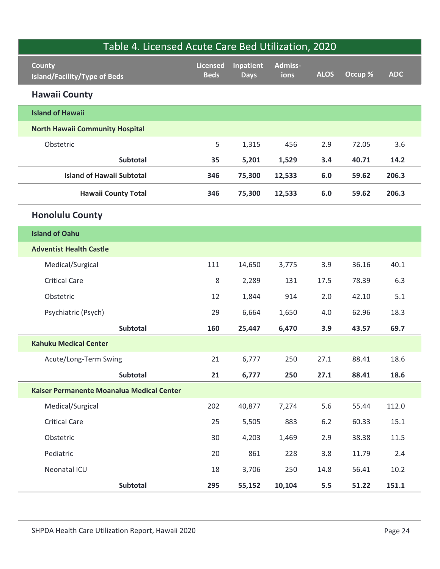| Table 4. Licensed Acute Care Bed Utilization, 2020    |                                |                          |                 |             |         |            |
|-------------------------------------------------------|--------------------------------|--------------------------|-----------------|-------------|---------|------------|
| County<br><b>Island/Facility/Type of Beds</b>         | <b>Licensed</b><br><b>Beds</b> | Inpatient<br><b>Days</b> | Admiss-<br>ions | <b>ALOS</b> | Occup % | <b>ADC</b> |
| <b>Hawaii County</b>                                  |                                |                          |                 |             |         |            |
| <b>Island of Hawaii</b>                               |                                |                          |                 |             |         |            |
| <b>North Hawaii Community Hospital</b>                |                                |                          |                 |             |         |            |
| Obstetric                                             | 5                              | 1,315                    | 456             | 2.9         | 72.05   | 3.6        |
| Subtotal                                              | 35                             | 5,201                    | 1,529           | 3.4         | 40.71   | 14.2       |
| <b>Island of Hawaii Subtotal</b>                      | 346                            | 75,300                   | 12,533          | 6.0         | 59.62   | 206.3      |
| <b>Hawaii County Total</b>                            | 346                            | 75,300                   | 12,533          | 6.0         | 59.62   | 206.3      |
| <b>Honolulu County</b>                                |                                |                          |                 |             |         |            |
| <b>Island of Oahu</b>                                 |                                |                          |                 |             |         |            |
| <b>Adventist Health Castle</b>                        |                                |                          |                 |             |         |            |
| Medical/Surgical                                      | 111                            | 14,650                   | 3,775           | 3.9         | 36.16   | 40.1       |
| <b>Critical Care</b>                                  | 8                              | 2,289                    | 131             | 17.5        | 78.39   | 6.3        |
| Obstetric                                             | 12                             | 1,844                    | 914             | 2.0         | 42.10   | $5.1$      |
| Psychiatric (Psych)                                   | 29                             | 6,664                    | 1,650           | $4.0\,$     | 62.96   | 18.3       |
| Subtotal                                              | 160                            | 25,447                   | 6,470           | 3.9         | 43.57   | 69.7       |
| <b>Kahuku Medical Center</b>                          |                                |                          |                 |             |         |            |
| Acute/Long-Term Swing                                 | 21                             | 6,777                    | 250             | 27.1        | 88.41   | 18.6       |
| Subtotal<br>Kaiser Permanente Moanalua Medical Center | 21                             | 6,777                    | 250             | 27.1        | 88.41   | 18.6       |
| Medical/Surgical                                      | 202                            | 40,877                   | 7,274           | $5.6\,$     | 55.44   | 112.0      |
| <b>Critical Care</b>                                  | 25                             | 5,505                    | 883             | $6.2\,$     | 60.33   | 15.1       |
| Obstetric                                             | 30                             | 4,203                    | 1,469           | 2.9         | 38.38   | $11.5\,$   |
| Pediatric                                             | 20                             | 861                      | 228             | 3.8         | 11.79   | 2.4        |
| Neonatal ICU                                          | 18                             | 3,706                    | 250             | 14.8        | 56.41   | $10.2\,$   |
| Subtotal                                              | 295                            | 55,152                   | 10,104          | 5.5         | 51.22   | 151.1      |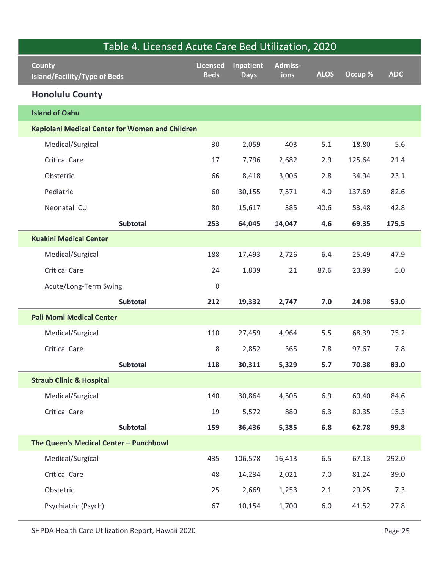| Table 4. Licensed Acute Care Bed Utilization, 2020 |                                |                          |                 |             |         |            |
|----------------------------------------------------|--------------------------------|--------------------------|-----------------|-------------|---------|------------|
| County<br><b>Island/Facility/Type of Beds</b>      | <b>Licensed</b><br><b>Beds</b> | Inpatient<br><b>Days</b> | Admiss-<br>ions | <b>ALOS</b> | Occup % | <b>ADC</b> |
| <b>Honolulu County</b>                             |                                |                          |                 |             |         |            |
| <b>Island of Oahu</b>                              |                                |                          |                 |             |         |            |
| Kapiolani Medical Center for Women and Children    |                                |                          |                 |             |         |            |
| Medical/Surgical                                   | 30                             | 2,059                    | 403             | 5.1         | 18.80   | 5.6        |
| <b>Critical Care</b>                               | 17                             | 7,796                    | 2,682           | 2.9         | 125.64  | 21.4       |
| Obstetric                                          | 66                             | 8,418                    | 3,006           | 2.8         | 34.94   | 23.1       |
| Pediatric                                          | 60                             | 30,155                   | 7,571           | 4.0         | 137.69  | 82.6       |
| Neonatal ICU                                       | 80                             | 15,617                   | 385             | 40.6        | 53.48   | 42.8       |
| Subtotal                                           | 253                            | 64,045                   | 14,047          | 4.6         | 69.35   | 175.5      |
| <b>Kuakini Medical Center</b>                      |                                |                          |                 |             |         |            |
| Medical/Surgical                                   | 188                            | 17,493                   | 2,726           | 6.4         | 25.49   | 47.9       |
| <b>Critical Care</b>                               | 24                             | 1,839                    | 21              | 87.6        | 20.99   | 5.0        |
| Acute/Long-Term Swing                              | 0                              |                          |                 |             |         |            |
| Subtotal                                           | 212                            | 19,332                   | 2,747           | 7.0         | 24.98   | 53.0       |
| <b>Pali Momi Medical Center</b>                    |                                |                          |                 |             |         |            |
| Medical/Surgical                                   | 110                            | 27,459                   | 4,964           | $5.5\,$     | 68.39   | 75.2       |
| <b>Critical Care</b>                               | $\,8\,$                        | 2,852                    | 365             | 7.8         | 97.67   | $7.8$      |
| Subtotal                                           | 118                            | 30,311                   | 5,329           | $5.7$       | 70.38   | 83.0       |
| <b>Straub Clinic &amp; Hospital</b>                |                                |                          |                 |             |         |            |
| Medical/Surgical                                   | 140                            | 30,864                   | 4,505           | 6.9         | 60.40   | 84.6       |
| <b>Critical Care</b>                               | 19                             | 5,572                    | 880             | 6.3         | 80.35   | 15.3       |
| Subtotal                                           | 159                            | 36,436                   | 5,385           | 6.8         | 62.78   | 99.8       |
| The Queen's Medical Center - Punchbowl             |                                |                          |                 |             |         |            |
| Medical/Surgical                                   | 435                            | 106,578                  | 16,413          | $6.5\,$     | 67.13   | 292.0      |
| <b>Critical Care</b>                               | 48                             | 14,234                   | 2,021           | 7.0         | 81.24   | 39.0       |
| Obstetric                                          | 25                             | 2,669                    | 1,253           | 2.1         | 29.25   | 7.3        |
| Psychiatric (Psych)                                | 67                             | 10,154                   | 1,700           | $6.0\,$     | 41.52   | 27.8       |
| SHPDA Health Care Utilization Report, Hawaii 2020  |                                |                          |                 |             |         | Page 25    |
|                                                    |                                |                          |                 |             |         |            |
|                                                    |                                |                          |                 |             |         |            |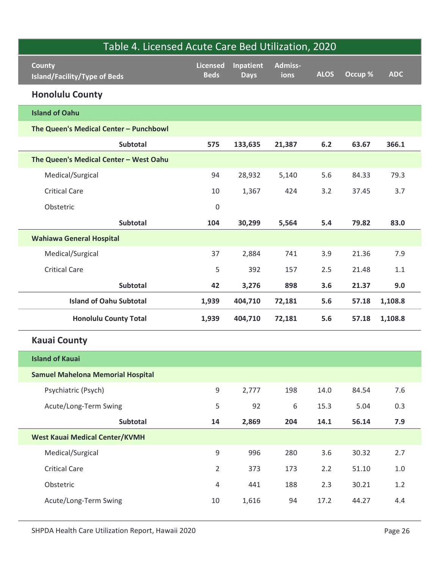| County                                   | <b>Licensed</b>  | <b>Inpatient</b> | Admiss- |             |         |               |
|------------------------------------------|------------------|------------------|---------|-------------|---------|---------------|
| <b>Island/Facility/Type of Beds</b>      | <b>Beds</b>      | <b>Days</b>      | ions    | <b>ALOS</b> | Occup % | <b>ADC</b>    |
| <b>Honolulu County</b>                   |                  |                  |         |             |         |               |
| <b>Island of Oahu</b>                    |                  |                  |         |             |         |               |
| The Queen's Medical Center - Punchbowl   |                  |                  |         |             |         |               |
| Subtotal                                 | 575              | 133,635          | 21,387  | $6.2$       | 63.67   | 366.1         |
| The Queen's Medical Center - West Oahu   |                  |                  |         |             |         |               |
| Medical/Surgical                         | 94               | 28,932           | 5,140   | 5.6         | 84.33   | 79.3          |
| <b>Critical Care</b>                     | 10               | 1,367            | 424     | 3.2         | 37.45   | 3.7           |
| Obstetric                                | $\pmb{0}$        |                  |         |             |         |               |
| Subtotal                                 | 104              | 30,299           | 5,564   | 5.4         | 79.82   | 83.0          |
| <b>Wahiawa General Hospital</b>          |                  |                  |         |             |         |               |
| Medical/Surgical                         | 37               | 2,884            | 741     | 3.9         | 21.36   | 7.9           |
| <b>Critical Care</b>                     | 5                | 392              | 157     | 2.5         | 21.48   | 1.1           |
| Subtotal                                 | 42               | 3,276            | 898     | 3.6         | 21.37   | 9.0           |
| <b>Island of Oahu Subtotal</b>           | 1,939            | 404,710          | 72,181  | 5.6         | 57.18   | 1,108.8       |
| <b>Honolulu County Total</b>             | 1,939            | 404,710          | 72,181  | 5.6         |         | 57.18 1,108.8 |
| <b>Kauai County</b>                      |                  |                  |         |             |         |               |
| <b>Island of Kauai</b>                   |                  |                  |         |             |         |               |
| <b>Samuel Mahelona Memorial Hospital</b> |                  |                  |         |             |         |               |
| Psychiatric (Psych)                      | $\boldsymbol{9}$ | 2,777            | 198     | 14.0        | 84.54   | $7.6$         |
| Acute/Long-Term Swing                    | 5                | 92               | 6       | 15.3        | 5.04    | 0.3           |
| Subtotal                                 | 14               | 2,869            | 204     | 14.1        | 56.14   | 7.9           |
| <b>West Kauai Medical Center/KVMH</b>    |                  |                  |         |             |         |               |
| Medical/Surgical                         | $\boldsymbol{9}$ | 996              | 280     | $3.6$       | 30.32   | 2.7           |
| <b>Critical Care</b>                     | $\overline{2}$   | 373              | 173     | 2.2         | 51.10   | $1.0\,$       |
| Obstetric                                | $\overline{4}$   | 441              | 188     | 2.3         | 30.21   | $1.2\,$       |
| Acute/Long-Term Swing                    | 10               | 1,616            | 94      | 17.2        | 44.27   | 4.4           |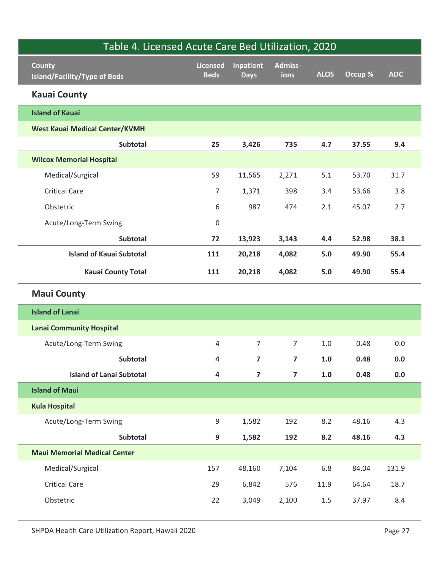| Table 4. Licensed Acute Care Bed Utilization, 2020   |                         |                          |                 |             |         |            |
|------------------------------------------------------|-------------------------|--------------------------|-----------------|-------------|---------|------------|
| <b>County</b><br><b>Island/Facility/Type of Beds</b> | Licensed<br><b>Beds</b> | Inpatient<br><b>Days</b> | Admiss-<br>ions | <b>ALOS</b> | Occup % | <b>ADC</b> |
| <b>Kauai County</b>                                  |                         |                          |                 |             |         |            |
| <b>Island of Kauai</b>                               |                         |                          |                 |             |         |            |
| <b>West Kauai Medical Center/KVMH</b>                |                         |                          |                 |             |         |            |
| <b>Subtotal</b>                                      | 25                      | 3,426                    | 735             | 4.7         | 37.55   | 9.4        |
| <b>Wilcox Memorial Hospital</b>                      |                         |                          |                 |             |         |            |
| Medical/Surgical                                     | 59                      | 11,565                   | 2,271           | 5.1         | 53.70   | 31.7       |
| <b>Critical Care</b>                                 | $\overline{7}$          | 1,371                    | 398             | 3.4         | 53.66   | 3.8        |
| Obstetric                                            | 6                       | 987                      | 474             | 2.1         | 45.07   | 2.7        |
| Acute/Long-Term Swing                                | $\mathsf{O}\xspace$     |                          |                 |             |         |            |
| <b>Subtotal</b>                                      | 72                      | 13,923                   | 3,143           | 4.4         | 52.98   | 38.1       |
| <b>Island of Kauai Subtotal</b>                      | 111                     | 20,218                   | 4,082           | 5.0         | 49.90   | 55.4       |
| <b>Kauai County Total</b>                            | 111                     | 20,218                   | 4,082           | 5.0         | 49.90   | 55.4       |
| <b>Maui County</b>                                   |                         |                          |                 |             |         |            |
| <b>Island of Lanai</b>                               |                         |                          |                 |             |         |            |
| <b>Lanai Community Hospital</b>                      |                         |                          |                 |             |         |            |
| Acute/Long-Term Swing                                | $\overline{4}$          | $\overline{7}$           | $\overline{7}$  | $1.0\,$     | 0.48    | $0.0\,$    |
| Subtotal                                             | $\overline{\mathbf{4}}$ | $\overline{\mathbf{z}}$  | $\overline{7}$  | $1.0$       | 0.48    | $0.0\,$    |
| <b>Island of Lanai Subtotal</b>                      | $\overline{\mathbf{4}}$ | $\overline{\mathbf{z}}$  | $\overline{7}$  | $1.0\,$     | 0.48    | $0.0\,$    |
| <b>Island of Maui</b>                                |                         |                          |                 |             |         |            |
| <b>Kula Hospital</b>                                 |                         |                          |                 |             |         |            |
| Acute/Long-Term Swing                                | $9\,$                   | 1,582                    | 192             | 8.2         | 48.16   | 4.3        |
| Subtotal                                             | $\mathbf{9}$            | 1,582                    | 192             | 8.2         | 48.16   | 4.3        |
| <b>Maui Memorial Medical Center</b>                  |                         |                          |                 |             |         |            |
| Medical/Surgical                                     | 157                     | 48,160                   | 7,104           | 6.8         | 84.04   | 131.9      |
| <b>Critical Care</b>                                 | 29                      | 6,842                    | 576             | 11.9        | 64.64   | 18.7       |
| Obstetric                                            | 22                      | 3,049                    | 2,100           | 1.5         | 37.97   | 8.4        |